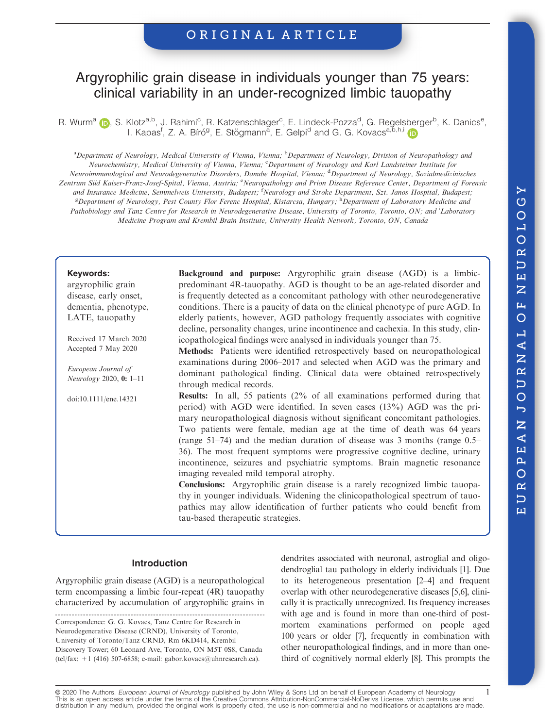## ORIGINAL ARTICLE

# Argyrophilic grain disease in individuals younger than 75 years: clinical variability in an under-recognized limbic tauopathy

R. Wurm<sup>[a](https://orcid.org/0000-0003-3027-7775)</sup> (D), S. Klotz<sup>a,b</sup>, J. Rahimi<sup>c</sup>, R. Katzenschlager<sup>c</sup>, E. Lindeck-Pozza<sup>d</sup>, G. Regelsberger<sup>b</sup>, K. Danics<sup>e</sup>, I. Kapas<sup>f</sup>, Z. A. Bíró<sup>g</sup>, E. Stögmann<sup>a</sup>, E. Gelp[i](https://orcid.org/0000-0003-3841-5511)<sup>d</sup> and G. G. Kovacs<sup>a, b, h, i</sup>

<sup>a</sup> Department of Neurology, Medical University of Vienna, Vienna; <sup>b</sup> Department of Neurology, Division of Neuropathology and Neurochemistry, Medical University of Vienna, Vienna; <sup>c</sup>Department of Neurology and Karl Landsteiner Institute for Neuroimmunological and Neurodegenerative Disorders, Danube Hospital, Vienna; <sup>d</sup>Department of Neurology, Sozialmedizinisches Zentrum Süd Kaiser-Franz-Josef-Spital, Vienna, Austria; <sup>e</sup>Neuropathology and Prion Disease Reference Center, Department of Forensic and Insurance Medicine, Semmelweis University, Budapest; <sup>f</sup>Neurology and Stroke Department, Szt. Janos Hospital, Budapest; <sup>g</sup>Department of Neurology, Pest County Flor Ferenc Hospital, Kistarcsa, Hungary; <sup>h</sup>Department of Laboratory Medicine and Pathobiology and Tanz Centre for Research in Neurodegenerative Disease, University of Toronto, Toronto, ON; and Laboratory Medicine Program and Krembil Brain Institute, University Health Network, Toronto, ON, Canada

#### Keywords:

argyrophilic grain disease, early onset, dementia, phenotype, LATE, tauopathy

Received 17 March 2020 Accepted 7 May 2020

European Journal of Neurology 2020, 0: 1–11

doi:10.1111/ene.14321

Background and purpose: Argyrophilic grain disease (AGD) is a limbicpredominant 4R-tauopathy. AGD is thought to be an age-related disorder and is frequently detected as a concomitant pathology with other neurodegenerative conditions. There is a paucity of data on the clinical phenotype of pure AGD. In elderly patients, however, AGD pathology frequently associates with cognitive decline, personality changes, urine incontinence and cachexia. In this study, clinicopathological findings were analysed in individuals younger than 75.

Methods: Patients were identified retrospectively based on neuropathological examinations during 2006–2017 and selected when AGD was the primary and dominant pathological finding. Clinical data were obtained retrospectively through medical records.

Results: In all, 55 patients (2% of all examinations performed during that period) with AGD were identified. In seven cases (13%) AGD was the primary neuropathological diagnosis without significant concomitant pathologies. Two patients were female, median age at the time of death was 64 years (range 51–74) and the median duration of disease was 3 months (range 0.5– 36). The most frequent symptoms were progressive cognitive decline, urinary incontinence, seizures and psychiatric symptoms. Brain magnetic resonance imaging revealed mild temporal atrophy.

Conclusions: Argyrophilic grain disease is a rarely recognized limbic tauopathy in younger individuals. Widening the clinicopathological spectrum of tauopathies may allow identification of further patients who could benefit from tau-based therapeutic strategies.

### Introduction

Argyrophilic grain disease (AGD) is a neuropathological term encompassing a limbic four-repeat (4R) tauopathy characterized by accumulation of argyrophilic grains in

Correspondence: G. G. Kovacs, Tanz Centre for Research in Neurodegenerative Disease (CRND), University of Toronto, University of Toronto/Tanz CRND, Rm 6KD414, Krembil Discovery Tower; 60 Leonard Ave, Toronto, ON M5T 0S8, Canada (tel/fax:  $+1$  (416) 507-6858; e-mail: [gabor.kovacs@uhnresearch.ca](mailto:gabor.kovacs@uhnresearch.ca)).

dendrites associated with neuronal, astroglial and oligodendroglial tau pathology in elderly individuals [1]. Due to its heterogeneous presentation [2–4] and frequent overlap with other neurodegenerative diseases [5,6], clinically it is practically unrecognized. Its frequency increases with age and is found in more than one-third of postmortem examinations performed on people aged 100 years or older [7], frequently in combination with other neuropathological findings, and in more than onethird of cognitively normal elderly [8]. This prompts the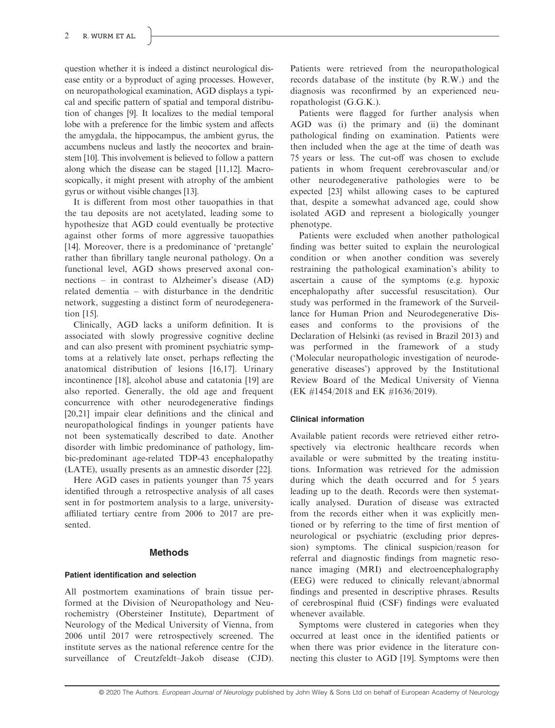question whether it is indeed a distinct neurological disease entity or a byproduct of aging processes. However, on neuropathological examination, AGD displays a typical and specific pattern of spatial and temporal distribution of changes [9]. It localizes to the medial temporal lobe with a preference for the limbic system and affects the amygdala, the hippocampus, the ambient gyrus, the accumbens nucleus and lastly the neocortex and brainstem [10]. This involvement is believed to follow a pattern along which the disease can be staged [11,12]. Macroscopically, it might present with atrophy of the ambient gyrus or without visible changes [13].

It is different from most other tauopathies in that the tau deposits are not acetylated, leading some to hypothesize that AGD could eventually be protective against other forms of more aggressive tauopathies [14]. Moreover, there is a predominance of 'pretangle' rather than fibrillary tangle neuronal pathology. On a functional level, AGD shows preserved axonal connections – in contrast to Alzheimer's disease (AD) related dementia – with disturbance in the dendritic network, suggesting a distinct form of neurodegeneration [15].

Clinically, AGD lacks a uniform definition. It is associated with slowly progressive cognitive decline and can also present with prominent psychiatric symptoms at a relatively late onset, perhaps reflecting the anatomical distribution of lesions [16,17]. Urinary incontinence [18], alcohol abuse and catatonia [19] are also reported. Generally, the old age and frequent concurrence with other neurodegenerative findings [20,21] impair clear definitions and the clinical and neuropathological findings in younger patients have not been systematically described to date. Another disorder with limbic predominance of pathology, limbic-predominant age-related TDP-43 encephalopathy (LATE), usually presents as an amnestic disorder [22].

Here AGD cases in patients younger than 75 years identified through a retrospective analysis of all cases sent in for postmortem analysis to a large, universityaffiliated tertiary centre from 2006 to 2017 are presented.

## Methods

## Patient identification and selection

All postmortem examinations of brain tissue performed at the Division of Neuropathology and Neurochemistry (Obersteiner Institute), Department of Neurology of the Medical University of Vienna, from 2006 until 2017 were retrospectively screened. The institute serves as the national reference centre for the surveillance of Creutzfeldt–Jakob disease (CJD).

Patients were retrieved from the neuropathological records database of the institute (by R.W.) and the diagnosis was reconfirmed by an experienced neuropathologist (G.G.K.).

Patients were flagged for further analysis when AGD was (i) the primary and (ii) the dominant pathological finding on examination. Patients were then included when the age at the time of death was 75 years or less. The cut-off was chosen to exclude patients in whom frequent cerebrovascular and/or other neurodegenerative pathologies were to be expected [23] whilst allowing cases to be captured that, despite a somewhat advanced age, could show isolated AGD and represent a biologically younger phenotype.

Patients were excluded when another pathological finding was better suited to explain the neurological condition or when another condition was severely restraining the pathological examination's ability to ascertain a cause of the symptoms (e.g. hypoxic encephalopathy after successful resuscitation). Our study was performed in the framework of the Surveillance for Human Prion and Neurodegenerative Diseases and conforms to the provisions of the Declaration of Helsinki (as revised in Brazil 2013) and was performed in the framework of a study ('Molecular neuropathologic investigation of neurodegenerative diseases') approved by the Institutional Review Board of the Medical University of Vienna (EK #1454/2018 and EK #1636/2019).

## Clinical information

Available patient records were retrieved either retrospectively via electronic healthcare records when available or were submitted by the treating institutions. Information was retrieved for the admission during which the death occurred and for 5 years leading up to the death. Records were then systematically analysed. Duration of disease was extracted from the records either when it was explicitly mentioned or by referring to the time of first mention of neurological or psychiatric (excluding prior depression) symptoms. The clinical suspicion/reason for referral and diagnostic findings from magnetic resonance imaging (MRI) and electroencephalography (EEG) were reduced to clinically relevant/abnormal findings and presented in descriptive phrases. Results of cerebrospinal fluid (CSF) findings were evaluated whenever available.

Symptoms were clustered in categories when they occurred at least once in the identified patients or when there was prior evidence in the literature connecting this cluster to AGD [19]. Symptoms were then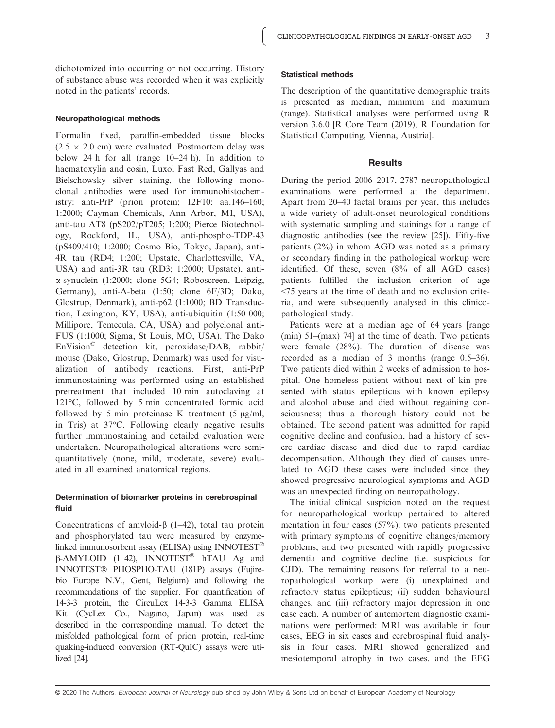dichotomized into occurring or not occurring. History of substance abuse was recorded when it was explicitly noted in the patients' records.

## Neuropathological methods

Formalin fixed, paraffin-embedded tissue blocks  $(2.5 \times 2.0 \text{ cm})$  were evaluated. Postmortem delay was below 24 h for all (range 10–24 h). In addition to haematoxylin and eosin, Luxol Fast Red, Gallyas and Bielschowsky silver staining, the following monoclonal antibodies were used for immunohistochemistry: anti-PrP (prion protein; 12F10: aa.146–160; 1:2000; Cayman Chemicals, Ann Arbor, MI, USA), anti-tau AT8 (pS202/pT205; 1:200; Pierce Biotechnology, Rockford, IL, USA), anti-phospho-TDP-43 (pS409/410; 1:2000; Cosmo Bio, Tokyo, Japan), anti-4R tau (RD4; 1:200; Upstate, Charlottesville, VA, USA) and anti-3R tau (RD3; 1:2000; Upstate), antia-synuclein (1:2000; clone 5G4; Roboscreen, Leipzig, Germany), anti-A-beta (1:50; clone 6F/3D; Dako, Glostrup, Denmark), anti-p62 (1:1000; BD Transduction, Lexington, KY, USA), anti-ubiquitin (1:50 000; Millipore, Temecula, CA, USA) and polyclonal anti-FUS (1:1000; Sigma, St Louis, MO, USA). The Dako EnVision© detection kit, peroxidase/DAB, rabbit/ mouse (Dako, Glostrup, Denmark) was used for visualization of antibody reactions. First, anti-PrP immunostaining was performed using an established pretreatment that included 10 min autoclaving at 121°C, followed by 5 min concentrated formic acid followed by 5 min proteinase K treatment (5  $\mu$ g/ml, in Tris) at 37°C. Following clearly negative results further immunostaining and detailed evaluation were undertaken. Neuropathological alterations were semiquantitatively (none, mild, moderate, severe) evaluated in all examined anatomical regions.

## Determination of biomarker proteins in cerebrospinal fluid

Concentrations of amyloid- $\beta$  (1–42), total tau protein and phosphorylated tau were measured by enzymelinked immunosorbent assay (ELISA) using INNOTEST  $\beta$ -AMYLOID (1–42), INNOTEST<sup>®</sup> hTAU Ag and INNOTEST® PHOSPHO-TAU (181P) assays (Fujirebio Europe N.V., Gent, Belgium) and following the recommendations of the supplier. For quantification of 14-3-3 protein, the CircuLex 14-3-3 Gamma ELISA Kit (CycLex Co., Nagano, Japan) was used as described in the corresponding manual. To detect the misfolded pathological form of prion protein, real-time quaking-induced conversion (RT-QuIC) assays were utilized [24].

## Statistical methods

The description of the quantitative demographic traits is presented as median, minimum and maximum (range). Statistical analyses were performed using R version 3.6.0 [R Core Team (2019), R Foundation for Statistical Computing, Vienna, Austria].

## **Results**

During the period 2006–2017, 2787 neuropathological examinations were performed at the department. Apart from 20–40 faetal brains per year, this includes a wide variety of adult-onset neurological conditions with systematic sampling and stainings for a range of diagnostic antibodies (see the review [25]). Fifty-five patients (2%) in whom AGD was noted as a primary or secondary finding in the pathological workup were identified. Of these, seven (8% of all AGD cases) patients fulfilled the inclusion criterion of age <75 years at the time of death and no exclusion criteria, and were subsequently analysed in this clinicopathological study.

Patients were at a median age of 64 years [range (min) 51–(max) 74] at the time of death. Two patients were female (28%). The duration of disease was recorded as a median of 3 months (range 0.5–36). Two patients died within 2 weeks of admission to hospital. One homeless patient without next of kin presented with status epilepticus with known epilepsy and alcohol abuse and died without regaining consciousness; thus a thorough history could not be obtained. The second patient was admitted for rapid cognitive decline and confusion, had a history of severe cardiac disease and died due to rapid cardiac decompensation. Although they died of causes unrelated to AGD these cases were included since they showed progressive neurological symptoms and AGD was an unexpected finding on neuropathology.

The initial clinical suspicion noted on the request for neuropathological workup pertained to altered mentation in four cases (57%): two patients presented with primary symptoms of cognitive changes/memory problems, and two presented with rapidly progressive dementia and cognitive decline (i.e. suspicious for CJD). The remaining reasons for referral to a neuropathological workup were (i) unexplained and refractory status epilepticus; (ii) sudden behavioural changes, and (iii) refractory major depression in one case each. A number of antemortem diagnostic examinations were performed: MRI was available in four cases, EEG in six cases and cerebrospinal fluid analysis in four cases. MRI showed generalized and mesiotemporal atrophy in two cases, and the EEG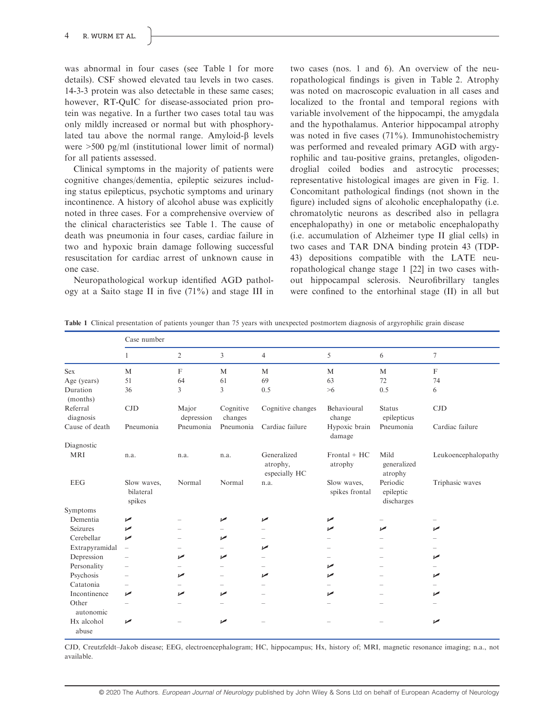was abnormal in four cases (see Table 1 for more details). CSF showed elevated tau levels in two cases. 14-3-3 protein was also detectable in these same cases; however, RT-QuIC for disease-associated prion protein was negative. In a further two cases total tau was only mildly increased or normal but with phosphorylated tau above the normal range. Amyloid- $\beta$  levels were >500 pg/ml (institutional lower limit of normal) for all patients assessed.

Clinical symptoms in the majority of patients were cognitive changes/dementia, epileptic seizures including status epilepticus, psychotic symptoms and urinary incontinence. A history of alcohol abuse was explicitly noted in three cases. For a comprehensive overview of the clinical characteristics see Table 1. The cause of death was pneumonia in four cases, cardiac failure in two and hypoxic brain damage following successful resuscitation for cardiac arrest of unknown cause in one case.

Neuropathological workup identified AGD pathology at a Saito stage II in five  $(71\%)$  and stage III in two cases (nos. 1 and 6). An overview of the neuropathological findings is given in Table 2. Atrophy was noted on macroscopic evaluation in all cases and localized to the frontal and temporal regions with variable involvement of the hippocampi, the amygdala and the hypothalamus. Anterior hippocampal atrophy was noted in five cases  $(71\%)$ . Immunohistochemistry was performed and revealed primary AGD with argyrophilic and tau-positive grains, pretangles, oligodendroglial coiled bodies and astrocytic processes; representative histological images are given in Fig. 1. Concomitant pathological findings (not shown in the figure) included signs of alcoholic encephalopathy (i.e. chromatolytic neurons as described also in pellagra encephalopathy) in one or metabolic encephalopathy (i.e. accumulation of Alzheimer type II glial cells) in two cases and TAR DNA binding protein 43 (TDP-43) depositions compatible with the LATE neuropathological change stage 1 [22] in two cases without hippocampal sclerosis. Neurofibrillary tangles were confined to the entorhinal stage (II) in all but

|  |  |  |  | Table 1 Clinical presentation of patients younger than 75 years with unexpected postmortem diagnosis of argyrophilic grain disease |  |  |  |
|--|--|--|--|------------------------------------------------------------------------------------------------------------------------------------|--|--|--|
|--|--|--|--|------------------------------------------------------------------------------------------------------------------------------------|--|--|--|

|                       | Case number                        |                     |                          |                                          |                               |                                     |                     |  |
|-----------------------|------------------------------------|---------------------|--------------------------|------------------------------------------|-------------------------------|-------------------------------------|---------------------|--|
|                       | 1                                  | $\overline{2}$      | 3                        | $\overline{4}$                           | 5                             | 6                                   | $\tau$              |  |
| <b>Sex</b>            | $\mathbf{M}$                       | $\mathbf F$         | M                        | M                                        | M                             | M                                   | $\mathbf F$         |  |
| Age (years)           | 51                                 | 64                  | 61                       | 69                                       | 63                            | 72                                  | 74                  |  |
| Duration<br>(months)  | 36                                 | $\overline{3}$      | $\overline{3}$           | 0.5                                      | $>6$                          | 0.5                                 | 6                   |  |
| Referral<br>diagnosis | CJD                                | Major<br>depression | Cognitive<br>changes     | Cognitive changes                        | Behavioural<br>change         | <b>Status</b><br>epilepticus        | CJD                 |  |
| Cause of death        | Pneumonia                          | Pneumonia           | Pneumonia                | Cardiac failure                          | Hypoxic brain<br>damage       | Pneumonia                           | Cardiac failure     |  |
| Diagnostic            |                                    |                     |                          |                                          |                               |                                     |                     |  |
| <b>MRI</b>            | n.a.                               | n.a.                | n.a.                     | Generalized<br>atrophy,<br>especially HC | Frontal + HC<br>atrophy       | Mild<br>generalized<br>atrophy      | Leukoencephalopathy |  |
| <b>EEG</b>            | Slow waves.<br>bilateral<br>spikes | Normal              | Normal                   | n.a.                                     | Slow waves,<br>spikes frontal | Periodic<br>epileptic<br>discharges | Triphasic waves     |  |
| Symptoms              |                                    |                     |                          |                                          |                               |                                     |                     |  |
| <b>Dementia</b>       | ►                                  |                     | مما                      | ↙                                        | ↙                             |                                     |                     |  |
| Seizures              | ↙                                  |                     |                          |                                          | ✔                             | ↙                                   |                     |  |
| Cerebellar            | $\overline{v}$                     |                     | مھما                     |                                          |                               |                                     |                     |  |
| Extrapyramidal        | $\overline{\phantom{0}}$           |                     |                          | مما                                      |                               |                                     |                     |  |
| Depression            |                                    | ممن                 | مما                      |                                          |                               |                                     | ممن                 |  |
| Personality           | $\overline{\phantom{0}}$           |                     | $\overline{\phantom{0}}$ |                                          | ✔                             |                                     |                     |  |
| Psychosis             | $\overline{\phantom{0}}$           | مما                 |                          | ↙                                        | مما                           |                                     | مما                 |  |
| Catatonia             | Ξ.                                 |                     |                          |                                          |                               |                                     |                     |  |
| Incontinence          | مما                                | ممرا                | مما                      |                                          | ممرا                          |                                     | مما                 |  |
| Other<br>autonomic    | $\overline{\phantom{0}}$           |                     |                          |                                          |                               |                                     |                     |  |
| Hx alcohol<br>abuse   | ↙                                  |                     | ✔                        |                                          |                               |                                     | ↙                   |  |

CJD, Creutzfeldt–Jakob disease; EEG, electroencephalogram; HC, hippocampus; Hx, history of; MRI, magnetic resonance imaging; n.a., not available.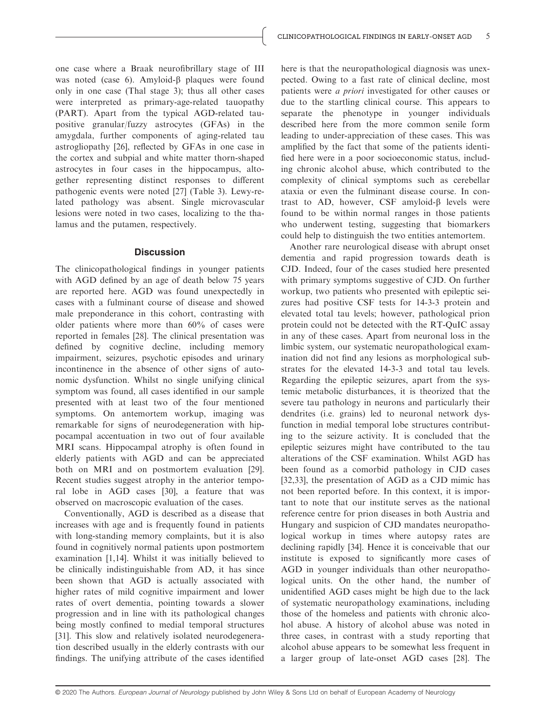one case where a Braak neurofibrillary stage of III was noted (case 6). Amyloid- $\beta$  plaques were found only in one case (Thal stage 3); thus all other cases were interpreted as primary-age-related tauopathy (PART). Apart from the typical AGD-related taupositive granular/fuzzy astrocytes (GFAs) in the amygdala, further components of aging-related tau astrogliopathy [26], reflected by GFAs in one case in the cortex and subpial and white matter thorn-shaped astrocytes in four cases in the hippocampus, altogether representing distinct responses to different pathogenic events were noted [27] (Table 3). Lewy-related pathology was absent. Single microvascular lesions were noted in two cases, localizing to the thalamus and the putamen, respectively.

#### **Discussion**

The clinicopathological findings in younger patients with AGD defined by an age of death below 75 years are reported here. AGD was found unexpectedly in cases with a fulminant course of disease and showed male preponderance in this cohort, contrasting with older patients where more than 60% of cases were reported in females [28]. The clinical presentation was defined by cognitive decline, including memory impairment, seizures, psychotic episodes and urinary incontinence in the absence of other signs of autonomic dysfunction. Whilst no single unifying clinical symptom was found, all cases identified in our sample presented with at least two of the four mentioned symptoms. On antemortem workup, imaging was remarkable for signs of neurodegeneration with hippocampal accentuation in two out of four available MRI scans. Hippocampal atrophy is often found in elderly patients with AGD and can be appreciated both on MRI and on postmortem evaluation [29]. Recent studies suggest atrophy in the anterior temporal lobe in AGD cases [30], a feature that was observed on macroscopic evaluation of the cases.

Conventionally, AGD is described as a disease that increases with age and is frequently found in patients with long-standing memory complaints, but it is also found in cognitively normal patients upon postmortem examination [1,14]. Whilst it was initially believed to be clinically indistinguishable from AD, it has since been shown that AGD is actually associated with higher rates of mild cognitive impairment and lower rates of overt dementia, pointing towards a slower progression and in line with its pathological changes being mostly confined to medial temporal structures [31]. This slow and relatively isolated neurodegeneration described usually in the elderly contrasts with our findings. The unifying attribute of the cases identified

here is that the neuropathological diagnosis was unexpected. Owing to a fast rate of clinical decline, most patients were a priori investigated for other causes or due to the startling clinical course. This appears to separate the phenotype in younger individuals described here from the more common senile form leading to under-appreciation of these cases. This was amplified by the fact that some of the patients identified here were in a poor socioeconomic status, including chronic alcohol abuse, which contributed to the complexity of clinical symptoms such as cerebellar ataxia or even the fulminant disease course. In contrast to AD, however, CSF amyloid- $\beta$  levels were found to be within normal ranges in those patients who underwent testing, suggesting that biomarkers could help to distinguish the two entities antemortem.

Another rare neurological disease with abrupt onset dementia and rapid progression towards death is CJD. Indeed, four of the cases studied here presented with primary symptoms suggestive of CJD. On further workup, two patients who presented with epileptic seizures had positive CSF tests for 14-3-3 protein and elevated total tau levels; however, pathological prion protein could not be detected with the RT-QuIC assay in any of these cases. Apart from neuronal loss in the limbic system, our systematic neuropathological examination did not find any lesions as morphological substrates for the elevated 14-3-3 and total tau levels. Regarding the epileptic seizures, apart from the systemic metabolic disturbances, it is theorized that the severe tau pathology in neurons and particularly their dendrites (i.e. grains) led to neuronal network dysfunction in medial temporal lobe structures contributing to the seizure activity. It is concluded that the epileptic seizures might have contributed to the tau alterations of the CSF examination. Whilst AGD has been found as a comorbid pathology in CJD cases [32,33], the presentation of AGD as a CJD mimic has not been reported before. In this context, it is important to note that our institute serves as the national reference centre for prion diseases in both Austria and Hungary and suspicion of CJD mandates neuropathological workup in times where autopsy rates are declining rapidly [34]. Hence it is conceivable that our institute is exposed to significantly more cases of AGD in younger individuals than other neuropathological units. On the other hand, the number of unidentified AGD cases might be high due to the lack of systematic neuropathology examinations, including those of the homeless and patients with chronic alcohol abuse. A history of alcohol abuse was noted in three cases, in contrast with a study reporting that alcohol abuse appears to be somewhat less frequent in a larger group of late-onset AGD cases [28]. The

<sup>© 2020</sup> The Authors. European Journal of Neurology published by John Wiley & Sons Ltd on behalf of European Academy of Neurology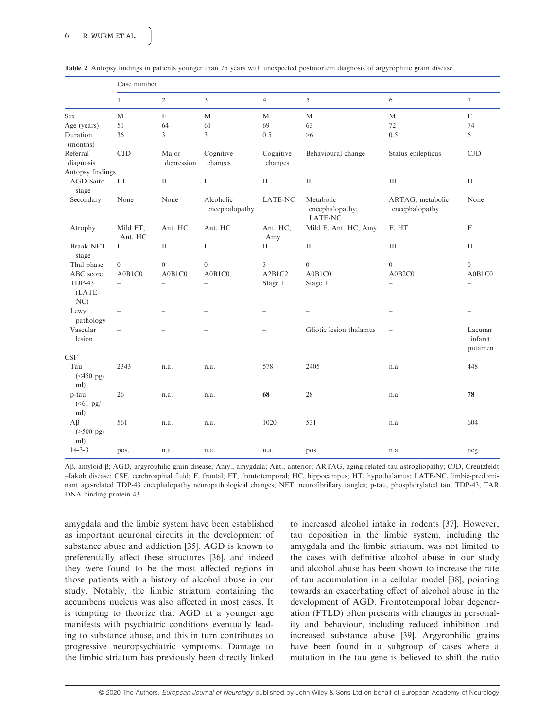|                                 | Case number              |                           |                             |                      |                                                |                                    |                                |  |  |  |
|---------------------------------|--------------------------|---------------------------|-----------------------------|----------------------|------------------------------------------------|------------------------------------|--------------------------------|--|--|--|
|                                 | $\mathbf{1}$             | $\overline{2}$            | 3                           | $\overline{4}$       | 5                                              | 6                                  | $\tau$                         |  |  |  |
| Sex                             | M                        | $\boldsymbol{\mathrm{F}}$ | M                           | $\mathbf M$          | M                                              | M                                  | $\mathbf F$                    |  |  |  |
| Age (years)                     | 51                       | 64                        | 61                          | 69                   | 63                                             | 72                                 | 74                             |  |  |  |
| Duration<br>(months)            | 36                       | $\overline{3}$            | 3                           | 0.5                  | >6                                             | 0.5                                | 6                              |  |  |  |
| Referral<br>diagnosis           | CJD                      | Major<br>depression       | Cognitive<br>changes        | Cognitive<br>changes | Behavioural change                             | Status epilepticus                 | CJD                            |  |  |  |
| Autopsy findings                |                          |                           |                             |                      |                                                |                                    |                                |  |  |  |
| <b>AGD</b> Saito<br>stage       | III                      | $\mathbf{I}$              | $\rm II$                    | $\rm II$             | $\rm II$                                       | III                                | $\mathbf{I}$                   |  |  |  |
| Secondary                       | None                     | None                      | Alcoholic<br>encephalopathy | <b>LATE-NC</b>       | Metabolic<br>encephalopathy;<br><b>LATE-NC</b> | ARTAG, metabolic<br>encephalopathy | None                           |  |  |  |
| Atrophy                         | Mild FT,<br>Ant. HC      | Ant. HC                   | Ant. HC                     | Ant. HC,<br>Amy.     | Mild F, Ant. HC, Amy.                          | F, HT                              | F                              |  |  |  |
| <b>Braak NFT</b><br>stage       | $\mathbf{I}$             | $\mathbf{I}$              | $\mathbf{I}$                | $\rm II$             | $\rm II$                                       | III                                | $\mathbf{I}$                   |  |  |  |
| Thal phase                      | $\mathbf{0}$             | $\mathbf{0}$              | $\mathbf{0}$                | 3                    | $\mathbf{0}$                                   | $\boldsymbol{0}$                   | $\theta$                       |  |  |  |
| ABC score                       | A0B1C0                   | A0B1C0                    | A0B1C0                      | A2B1C2               | A0B1C0                                         | A0B2C0                             | A0B1C0                         |  |  |  |
| TDP-43<br>(LATE-<br>NC          | $\overline{\phantom{0}}$ | $\overline{\phantom{0}}$  | $\qquad \qquad -$           | Stage 1              | Stage 1                                        | $\overline{\phantom{0}}$           | $\overline{\phantom{0}}$       |  |  |  |
| Lewy<br>pathology               |                          |                           |                             |                      |                                                |                                    |                                |  |  |  |
| Vascular<br>lesion              | $\overline{\phantom{0}}$ |                           |                             |                      | Gliotic lesion thalamus                        | $\overline{\phantom{0}}$           | Lacunar<br>infarct:<br>putamen |  |  |  |
| <b>CSF</b>                      |                          |                           |                             |                      |                                                |                                    |                                |  |  |  |
| Tau<br>$(*450 pg/$<br>ml)       | 2343                     | n.a.                      | n.a.                        | 578                  | 2405                                           | n.a.                               | 448                            |  |  |  |
| p-tau<br>$(\leq 61$ pg/<br>ml)  | 26                       | n.a.                      | n.a.                        | 68                   | 28                                             | n.a.                               | 78                             |  |  |  |
| $A\beta$<br>$( >500$ pg/<br>ml) | 561                      | n.a.                      | n.a.                        | 1020                 | 531                                            | n.a.                               | 604                            |  |  |  |
| $14 - 3 - 3$                    | pos.                     | n.a.                      | n.a.                        | n.a.                 | pos.                                           | n.a.                               | neg.                           |  |  |  |

Table 2 Autopsy findings in patients younger than 75 years with unexpected postmortem diagnosis of argyrophilic grain disease

Ab, amyloid-b; AGD, argyrophilic grain disease; Amy., amygdala; Ant., anterior; ARTAG, aging-related tau astrogliopathy; CJD, Creutzfeldt –Jakob disease; CSF, cerebrospinal fluid; F, frontal; FT, frontotemporal; HC, hippocampus; HT, hypothalamus; LATE-NC, limbic-predominant age-related TDP-43 encephalopathy neuropathological changes; NFT, neurofibrillary tangles; p-tau, phosphorylated tau; TDP-43, TAR DNA binding protein 43.

amygdala and the limbic system have been established as important neuronal circuits in the development of substance abuse and addiction [35]. AGD is known to preferentially affect these structures [36], and indeed they were found to be the most affected regions in those patients with a history of alcohol abuse in our study. Notably, the limbic striatum containing the accumbens nucleus was also affected in most cases. It is tempting to theorize that AGD at a younger age manifests with psychiatric conditions eventually leading to substance abuse, and this in turn contributes to progressive neuropsychiatric symptoms. Damage to the limbic striatum has previously been directly linked

to increased alcohol intake in rodents [37]. However, tau deposition in the limbic system, including the amygdala and the limbic striatum, was not limited to the cases with definitive alcohol abuse in our study and alcohol abuse has been shown to increase the rate of tau accumulation in a cellular model [38], pointing towards an exacerbating effect of alcohol abuse in the development of AGD. Frontotemporal lobar degeneration (FTLD) often presents with changes in personality and behaviour, including reduced inhibition and increased substance abuse [39]. Argyrophilic grains have been found in a subgroup of cases where a mutation in the tau gene is believed to shift the ratio

© 2020 The Authors. European Journal of Neurology published by John Wiley & Sons Ltd on behalf of European Academy of Neurology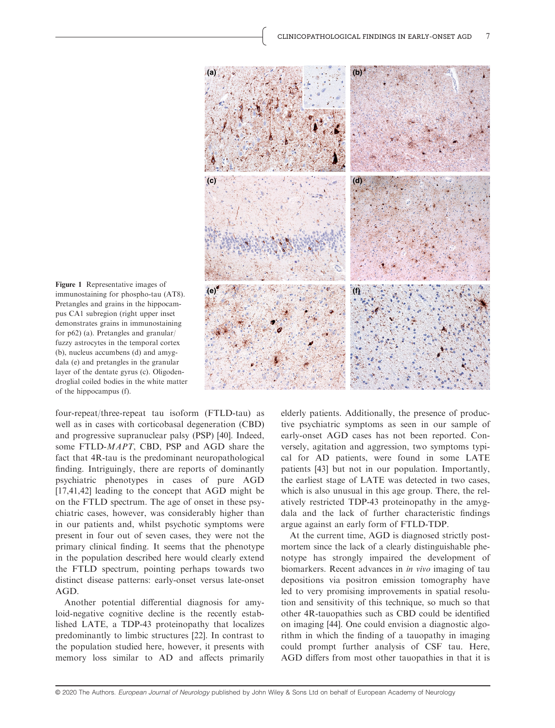

immunostaining for phospho-tau (AT8). Pretangles and grains in the hippocampus CA1 subregion (right upper inset demonstrates grains in immunostaining for p62) (a). Pretangles and granular/ fuzzy astrocytes in the temporal cortex (b), nucleus accumbens (d) and amygdala (e) and pretangles in the granular layer of the dentate gyrus (c). Oligodendroglial coiled bodies in the white matter of the hippocampus (f).

four-repeat/three-repeat tau isoform (FTLD-tau) as well as in cases with corticobasal degeneration (CBD) and progressive supranuclear palsy (PSP) [40]. Indeed, some FTLD-MAPT, CBD, PSP and AGD share the fact that 4R-tau is the predominant neuropathological finding. Intriguingly, there are reports of dominantly psychiatric phenotypes in cases of pure AGD [17,41,42] leading to the concept that AGD might be on the FTLD spectrum. The age of onset in these psychiatric cases, however, was considerably higher than in our patients and, whilst psychotic symptoms were present in four out of seven cases, they were not the primary clinical finding. It seems that the phenotype in the population described here would clearly extend the FTLD spectrum, pointing perhaps towards two distinct disease patterns: early-onset versus late-onset AGD.

Another potential differential diagnosis for amyloid-negative cognitive decline is the recently established LATE, a TDP-43 proteinopathy that localizes predominantly to limbic structures [22]. In contrast to the population studied here, however, it presents with memory loss similar to AD and affects primarily

elderly patients. Additionally, the presence of productive psychiatric symptoms as seen in our sample of early-onset AGD cases has not been reported. Conversely, agitation and aggression, two symptoms typical for AD patients, were found in some LATE patients [43] but not in our population. Importantly, the earliest stage of LATE was detected in two cases, which is also unusual in this age group. There, the relatively restricted TDP-43 proteinopathy in the amygdala and the lack of further characteristic findings argue against an early form of FTLD-TDP.

At the current time, AGD is diagnosed strictly postmortem since the lack of a clearly distinguishable phenotype has strongly impaired the development of biomarkers. Recent advances in in vivo imaging of tau depositions via positron emission tomography have led to very promising improvements in spatial resolution and sensitivity of this technique, so much so that other 4R-tauopathies such as CBD could be identified on imaging [44]. One could envision a diagnostic algorithm in which the finding of a tauopathy in imaging could prompt further analysis of CSF tau. Here, AGD differs from most other tauopathies in that it is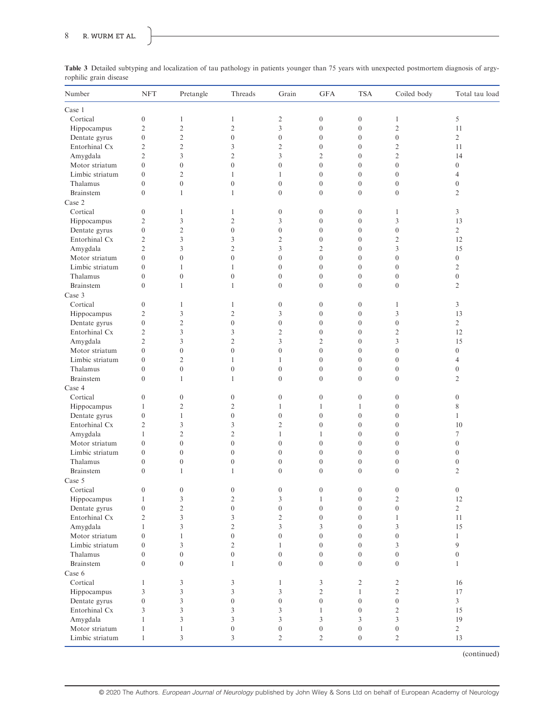| Number           | <b>NFT</b>       | Pretangle        | Threads          | Grain            | <b>GFA</b>       | <b>TSA</b>       | Coiled body      | Total tau load          |
|------------------|------------------|------------------|------------------|------------------|------------------|------------------|------------------|-------------------------|
| Case 1           |                  |                  |                  |                  |                  |                  |                  |                         |
| Cortical         | $\boldsymbol{0}$ | $\mathbf{1}$     | $\mathbf{1}$     | $\sqrt{2}$       | $\boldsymbol{0}$ | $\boldsymbol{0}$ | $\mathbf{1}$     | 5                       |
| Hippocampus      | $\overline{2}$   | $\overline{c}$   | $\overline{c}$   | $\mathfrak{Z}$   | $\boldsymbol{0}$ | $\boldsymbol{0}$ | $\overline{c}$   | 11                      |
| Dentate gyrus    | $\overline{0}$   | $\mathbf{2}$     | $\overline{0}$   | $\boldsymbol{0}$ | $\boldsymbol{0}$ | $\boldsymbol{0}$ | $\mathbf{0}$     | $\overline{2}$          |
| Entorhinal Cx    | $\overline{2}$   | $\overline{c}$   | 3                | $\overline{2}$   | $\boldsymbol{0}$ | $\mathbf{0}$     | $\sqrt{2}$       | 11                      |
| Amygdala         | $\overline{2}$   | 3                | $\overline{c}$   | $\mathfrak{Z}$   | $\overline{2}$   | $\boldsymbol{0}$ | $\overline{2}$   | 14                      |
| Motor striatum   | $\mathbf{0}$     | $\mathbf{0}$     | $\overline{0}$   | $\mathbf{0}$     | $\mathbf{0}$     | $\mathbf{0}$     | $\mathbf{0}$     | $\overline{0}$          |
| Limbic striatum  | $\mathbf{0}$     | $\overline{2}$   | $\mathbf{1}$     | $\mathbf{1}$     | $\mathbf{0}$     | $\mathbf{0}$     | $\mathbf{0}$     | $\overline{4}$          |
| Thalamus         | $\mathbf{0}$     | $\boldsymbol{0}$ | $\boldsymbol{0}$ | $\boldsymbol{0}$ | $\boldsymbol{0}$ | $\boldsymbol{0}$ | $\boldsymbol{0}$ | $\overline{0}$          |
| Brainstem        | $\mathbf{0}$     | $\mathbf{1}$     | $\mathbf{1}$     | $\boldsymbol{0}$ | $\boldsymbol{0}$ | $\mathbf{0}$     | $\boldsymbol{0}$ | $\overline{c}$          |
| Case 2           |                  |                  |                  |                  |                  |                  |                  |                         |
|                  |                  |                  |                  |                  |                  |                  |                  |                         |
| Cortical         | $\boldsymbol{0}$ | $\mathbf{1}$     | $\mathbf{1}$     | $\boldsymbol{0}$ | $\boldsymbol{0}$ | $\boldsymbol{0}$ | 1                | 3                       |
| Hippocampus      | $\overline{2}$   | 3                | $\mathfrak{2}$   | 3                | $\boldsymbol{0}$ | $\boldsymbol{0}$ | 3                | 13                      |
| Dentate gyrus    | $\mathbf{0}$     | $\overline{c}$   | $\boldsymbol{0}$ | $\boldsymbol{0}$ | $\boldsymbol{0}$ | $\mathbf{0}$     | $\mathbf{0}$     | $\overline{2}$          |
| Entorhinal Cx    | $\overline{2}$   | 3                | 3                | $\overline{2}$   | $\boldsymbol{0}$ | $\boldsymbol{0}$ | $\overline{2}$   | 12                      |
| Amygdala         | $\overline{c}$   | 3                | $\overline{c}$   | 3                | $\overline{2}$   | $\boldsymbol{0}$ | 3                | 15                      |
| Motor striatum   | $\mathbf{0}$     | $\overline{0}$   | $\boldsymbol{0}$ | $\mathbf{0}$     | $\mathbf{0}$     | $\mathbf{0}$     | $\mathbf{0}$     | $\boldsymbol{0}$        |
| Limbic striatum  | $\mathbf{0}$     | $\mathbf{1}$     | $\mathbf{1}$     | $\boldsymbol{0}$ | $\boldsymbol{0}$ | $\mathbf{0}$     | $\mathbf{0}$     | $\overline{c}$          |
| Thalamus         | $\mathbf{0}$     | $\boldsymbol{0}$ | $\boldsymbol{0}$ | $\boldsymbol{0}$ | $\boldsymbol{0}$ | $\boldsymbol{0}$ | $\boldsymbol{0}$ | $\overline{0}$          |
| Brainstem        | $\theta$         | $\mathbf{1}$     | $\mathbf{1}$     | $\boldsymbol{0}$ | $\boldsymbol{0}$ | $\mathbf{0}$     | $\mathbf{0}$     | $\overline{c}$          |
| Case 3           |                  |                  |                  |                  |                  |                  |                  |                         |
| Cortical         | $\boldsymbol{0}$ | $\mathbf{1}$     | $\mathbf{1}$     | $\boldsymbol{0}$ | $\boldsymbol{0}$ | $\boldsymbol{0}$ | $\mathbf{1}$     | $\overline{3}$          |
| Hippocampus      | $\overline{2}$   | 3                | $\overline{c}$   | 3                | $\boldsymbol{0}$ | $\mathbf{0}$     | 3                | 13                      |
| Dentate gyrus    | $\boldsymbol{0}$ | $\mathfrak{2}$   | $\boldsymbol{0}$ | $\boldsymbol{0}$ | $\boldsymbol{0}$ | $\boldsymbol{0}$ | $\boldsymbol{0}$ | $\overline{c}$          |
|                  | $\overline{c}$   | 3                | 3                | $\overline{2}$   | $\boldsymbol{0}$ | $\boldsymbol{0}$ | $\overline{2}$   | 12                      |
| Entorhinal Cx    |                  |                  |                  |                  |                  |                  |                  |                         |
| Amygdala         | $\overline{2}$   | 3                | $\mathfrak{2}$   | $\mathfrak{Z}$   | $\overline{2}$   | $\mathbf{0}$     | 3                | 15                      |
| Motor striatum   | $\mathbf{0}$     | $\boldsymbol{0}$ | $\boldsymbol{0}$ | $\boldsymbol{0}$ | $\boldsymbol{0}$ | $\boldsymbol{0}$ | $\boldsymbol{0}$ | $\overline{0}$          |
| Limbic striatum  | $\boldsymbol{0}$ | $\overline{c}$   | $\mathbf{1}$     | $\mathbf{1}$     | $\mathbf{0}$     | $\boldsymbol{0}$ | $\mathbf{0}$     | $\overline{4}$          |
| Thalamus         | $\mathbf{0}$     | $\boldsymbol{0}$ | $\boldsymbol{0}$ | $\boldsymbol{0}$ | $\boldsymbol{0}$ | $\mathbf{0}$     | $\mathbf{0}$     | $\overline{0}$          |
| <b>Brainstem</b> | $\mathbf{0}$     | $\mathbf{1}$     | $\mathbf{1}$     | $\mathbf{0}$     | $\mathbf{0}$     | $\mathbf{0}$     | $\mathbf{0}$     | $\overline{2}$          |
| Case 4           |                  |                  |                  |                  |                  |                  |                  |                         |
| Cortical         | $\mathbf{0}$     | $\boldsymbol{0}$ | $\boldsymbol{0}$ | $\boldsymbol{0}$ | $\boldsymbol{0}$ | $\mathbf{0}$     | $\boldsymbol{0}$ | $\overline{0}$          |
| Hippocampus      | $\mathbf{1}$     | $\mathfrak{2}$   | $\overline{c}$   | $\mathbf{1}$     | $\mathbf{1}$     | $\mathbf{1}$     | $\boldsymbol{0}$ | 8                       |
| Dentate gyrus    | $\boldsymbol{0}$ | $\mathbf{1}$     | $\boldsymbol{0}$ | $\boldsymbol{0}$ | $\boldsymbol{0}$ | $\boldsymbol{0}$ | $\boldsymbol{0}$ | $\mathbf{1}$            |
| Entorhinal Cx    | $\overline{2}$   | 3                | 3                | $\overline{2}$   | $\mathbf{0}$     | $\mathbf{0}$     | $\mathbf{0}$     | 10                      |
| Amygdala         | $\mathbf{1}$     | $\overline{c}$   | $\overline{c}$   | $\mathbf{1}$     | $\mathbf{1}$     | $\boldsymbol{0}$ | $\boldsymbol{0}$ | 7                       |
| Motor striatum   | $\mathbf{0}$     | $\boldsymbol{0}$ | $\boldsymbol{0}$ | $\boldsymbol{0}$ | $\boldsymbol{0}$ | $\boldsymbol{0}$ | $\boldsymbol{0}$ | $\overline{0}$          |
| Limbic striatum  | $\mathbf{0}$     | $\mathbf{0}$     | $\overline{0}$   | $\mathbf{0}$     | $\mathbf{0}$     | $\mathbf{0}$     | $\mathbf{0}$     | $\overline{0}$          |
| Thalamus         | $\boldsymbol{0}$ | $\boldsymbol{0}$ | $\boldsymbol{0}$ | $\boldsymbol{0}$ | $\boldsymbol{0}$ | $\boldsymbol{0}$ | $\boldsymbol{0}$ | $\overline{0}$          |
| Brainstem        | $\mathbf{0}$     | $\mathbf{1}$     | $\mathbf{1}$     | $\mathbf{0}$     | $\boldsymbol{0}$ | $\mathbf{0}$     | $\mathbf{0}$     | $\overline{c}$          |
|                  |                  |                  |                  |                  |                  |                  |                  |                         |
| Case 5           |                  |                  |                  |                  |                  |                  |                  |                         |
| Cortical         | $\boldsymbol{0}$ | $\boldsymbol{0}$ | $\boldsymbol{0}$ | $\boldsymbol{0}$ | $\boldsymbol{0}$ | $\boldsymbol{0}$ | $\boldsymbol{0}$ | $\boldsymbol{0}$        |
| Hippocampus      | $\mathbf{1}$     | 3                | $\overline{c}$   | 3                | $\mathbf{1}$     | $\mathbf{0}$     | $\sqrt{2}$       | 12                      |
| Dentate gyrus    | $\boldsymbol{0}$ | $\overline{c}$   | $\boldsymbol{0}$ | $\boldsymbol{0}$ | $\boldsymbol{0}$ | $\boldsymbol{0}$ | $\boldsymbol{0}$ | $\overline{2}$          |
| Entorhinal Cx    | $\sqrt{2}$       | 3                | 3                | $\sqrt{2}$       | $\boldsymbol{0}$ | $\boldsymbol{0}$ | $\mathbf{1}$     | 11                      |
| Amygdala         | $\mathbf{1}$     | 3                | $\mathfrak{2}$   | 3                | $\mathfrak{Z}$   | $\boldsymbol{0}$ | 3                | 15                      |
| Motor striatum   | $\boldsymbol{0}$ | $\mathbf{1}$     | $\boldsymbol{0}$ | $\boldsymbol{0}$ | $\boldsymbol{0}$ | $\mathbf{0}$     | $\boldsymbol{0}$ | $\mathbf{1}$            |
| Limbic striatum  | $\boldsymbol{0}$ | 3                | $\overline{c}$   | $\mathbf{1}$     | $\boldsymbol{0}$ | $\boldsymbol{0}$ | 3                | 9                       |
| Thalamus         | $\boldsymbol{0}$ | $\boldsymbol{0}$ | $\boldsymbol{0}$ | $\boldsymbol{0}$ | $\boldsymbol{0}$ | $\boldsymbol{0}$ | $\boldsymbol{0}$ | $\boldsymbol{0}$        |
| Brainstem        | $\overline{0}$   | $\boldsymbol{0}$ | $\mathbf{1}$     | $\boldsymbol{0}$ | $\boldsymbol{0}$ | $\mathbf{0}$     | $\mathbf{0}$     | $\mathbf{1}$            |
| Case 6           |                  |                  |                  |                  |                  |                  |                  |                         |
| Cortical         | $\mathbf{1}$     | 3                | 3                | $\mathbf{1}$     | $\mathfrak{Z}$   | $\overline{c}$   | $\sqrt{2}$       | 16                      |
| Hippocampus      | 3                | 3                | 3                | $\mathfrak{Z}$   | $\sqrt{2}$       | $\mathbf{1}$     | $\sqrt{2}$       | 17                      |
| Dentate gyrus    | $\boldsymbol{0}$ | 3                | $\boldsymbol{0}$ | $\boldsymbol{0}$ | $\boldsymbol{0}$ | $\boldsymbol{0}$ | $\boldsymbol{0}$ | $\overline{\mathbf{3}}$ |
|                  |                  |                  |                  | 3                | $\mathbf{1}$     |                  | $\mathfrak{2}$   |                         |
| Entorhinal Cx    | 3                | 3                | 3                |                  |                  | $\boldsymbol{0}$ |                  | $15\,$                  |
| Amygdala         | $\mathbf{1}$     | 3                | 3                | 3                | $\mathfrak{Z}$   | 3                | 3                | 19                      |
| Motor striatum   | $\mathbf{1}$     | $\mathbf{1}$     | $\boldsymbol{0}$ | $\boldsymbol{0}$ | $\boldsymbol{0}$ | $\boldsymbol{0}$ | $\boldsymbol{0}$ | $\sqrt{2}$              |
| Limbic striatum  | $\mathbf{1}$     | 3                | 3                | $\overline{2}$   | $\overline{2}$   | $\boldsymbol{0}$ | $\overline{c}$   | 13                      |

Table 3 Detailed subtyping and localization of tau pathology in patients younger than 75 years with unexpected postmortem diagnosis of argyrophilic grain disease

(continued)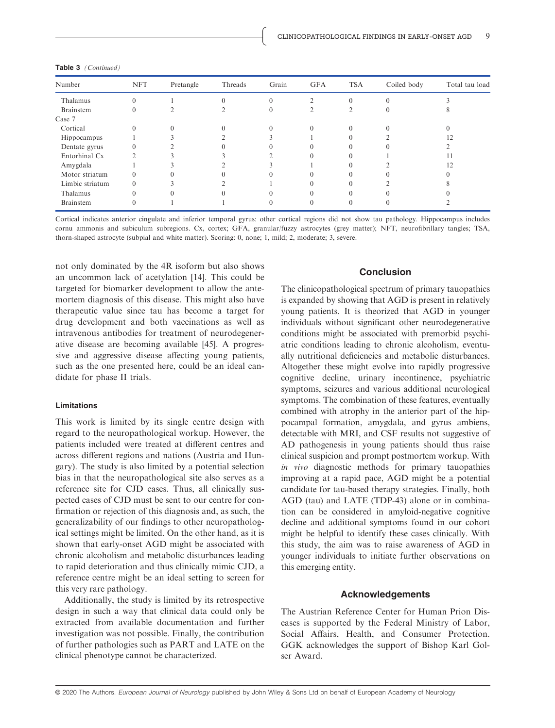| Number           | <b>NFT</b> | Pretangle | Threads | Grain | <b>GFA</b> | <b>TSA</b> | Coiled body | Total tau load |
|------------------|------------|-----------|---------|-------|------------|------------|-------------|----------------|
| Thalamus         | 0          |           |         |       |            | $\theta$   | 0           |                |
| <b>Brainstem</b> | 0          |           |         |       |            |            |             |                |
| Case 7           |            |           |         |       |            |            |             |                |
| Cortical         |            |           |         |       |            |            |             |                |
| Hippocampus      |            |           |         |       |            |            |             |                |
| Dentate gyrus    |            |           |         |       |            |            |             |                |
| Entorhinal Cx    |            |           |         |       |            |            |             |                |
| Amygdala         |            |           |         |       |            |            |             | 12             |
| Motor striatum   |            |           |         |       |            |            |             |                |
| Limbic striatum  |            |           |         |       |            |            |             |                |
| Thalamus         |            |           |         |       |            |            |             |                |
| Brainstem        |            |           |         |       |            |            |             |                |
|                  |            |           |         |       |            |            |             |                |

Table 3 (Continued)

Cortical indicates anterior cingulate and inferior temporal gyrus: other cortical regions did not show tau pathology. Hippocampus includes cornu ammonis and subiculum subregions. Cx, cortex; GFA, granular/fuzzy astrocytes (grey matter); NFT, neurofibrillary tangles; TSA, thorn-shaped astrocyte (subpial and white matter). Scoring: 0, none; 1, mild; 2, moderate; 3, severe.

not only dominated by the 4R isoform but also shows an uncommon lack of acetylation [14]. This could be targeted for biomarker development to allow the antemortem diagnosis of this disease. This might also have therapeutic value since tau has become a target for drug development and both vaccinations as well as intravenous antibodies for treatment of neurodegenerative disease are becoming available [45]. A progressive and aggressive disease affecting young patients, such as the one presented here, could be an ideal candidate for phase II trials.

#### Limitations

This work is limited by its single centre design with regard to the neuropathological workup. However, the patients included were treated at different centres and across different regions and nations (Austria and Hungary). The study is also limited by a potential selection bias in that the neuropathological site also serves as a reference site for CJD cases. Thus, all clinically suspected cases of CJD must be sent to our centre for confirmation or rejection of this diagnosis and, as such, the generalizability of our findings to other neuropathological settings might be limited. On the other hand, as it is shown that early-onset AGD might be associated with chronic alcoholism and metabolic disturbances leading to rapid deterioration and thus clinically mimic CJD, a reference centre might be an ideal setting to screen for this very rare pathology.

Additionally, the study is limited by its retrospective design in such a way that clinical data could only be extracted from available documentation and further investigation was not possible. Finally, the contribution of further pathologies such as PART and LATE on the clinical phenotype cannot be characterized.

## Conclusion

The clinicopathological spectrum of primary tauopathies is expanded by showing that AGD is present in relatively young patients. It is theorized that AGD in younger individuals without significant other neurodegenerative conditions might be associated with premorbid psychiatric conditions leading to chronic alcoholism, eventually nutritional deficiencies and metabolic disturbances. Altogether these might evolve into rapidly progressive cognitive decline, urinary incontinence, psychiatric symptoms, seizures and various additional neurological symptoms. The combination of these features, eventually combined with atrophy in the anterior part of the hippocampal formation, amygdala, and gyrus ambiens, detectable with MRI, and CSF results not suggestive of AD pathogenesis in young patients should thus raise clinical suspicion and prompt postmortem workup. With in vivo diagnostic methods for primary tauopathies improving at a rapid pace, AGD might be a potential candidate for tau-based therapy strategies. Finally, both AGD (tau) and LATE (TDP-43) alone or in combination can be considered in amyloid-negative cognitive decline and additional symptoms found in our cohort might be helpful to identify these cases clinically. With this study, the aim was to raise awareness of AGD in younger individuals to initiate further observations on this emerging entity.

#### Acknowledgements

The Austrian Reference Center for Human Prion Diseases is supported by the Federal Ministry of Labor, Social Affairs, Health, and Consumer Protection. GGK acknowledges the support of Bishop Karl Golser Award.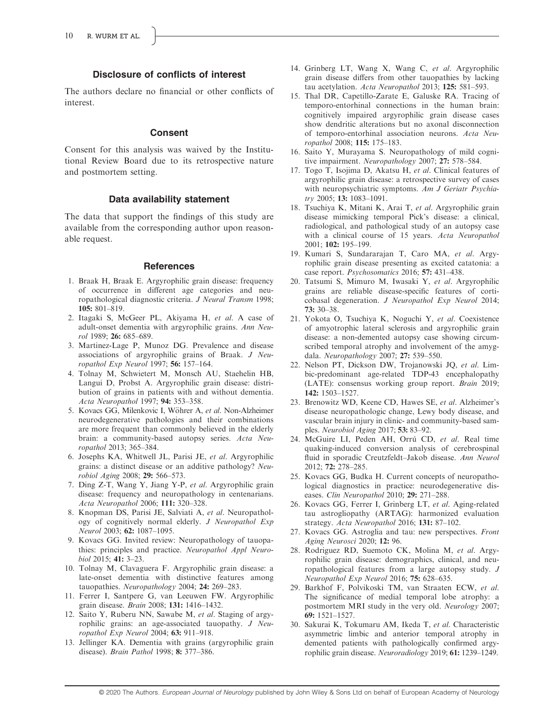## Disclosure of conflicts of interest

The authors declare no financial or other conflicts of interest.

#### Consent

Consent for this analysis was waived by the Institutional Review Board due to its retrospective nature and postmortem setting.

#### Data availability statement

The data that support the findings of this study are available from the corresponding author upon reasonable request.

#### **References**

- 1. Braak H, Braak E. Argyrophilic grain disease: frequency of occurrence in different age categories and neuropathological diagnostic criteria. J Neural Transm 1998; 105: 801–819.
- 2. Itagaki S, McGeer PL, Akiyama H, et al. A case of adult-onset dementia with argyrophilic grains. Ann Neurol 1989; 26: 685–689.
- 3. Martinez-Lage P, Munoz DG. Prevalence and disease associations of argyrophilic grains of Braak. J Neuropathol Exp Neurol 1997; 56: 157–164.
- 4. Tolnay M, Schwietert M, Monsch AU, Staehelin HB, Langui D, Probst A. Argyrophilic grain disease: distribution of grains in patients with and without dementia. Acta Neuropathol 1997; 94: 353–358.
- 5. Kovacs GG, Milenkovic I, Wöhrer A, et al. Non-Alzheimer neurodegenerative pathologies and their combinations are more frequent than commonly believed in the elderly brain: a community-based autopsy series. Acta Neuropathol 2013; 365–384.
- 6. Josephs KA, Whitwell JL, Parisi JE, et al. Argyrophilic grains: a distinct disease or an additive pathology? Neurobiol Aging 2008; 29: 566–573.
- 7. Ding Z-T, Wang Y, Jiang Y-P, et al. Argyrophilic grain disease: frequency and neuropathology in centenarians. Acta Neuropathol 2006; 111: 320–328.
- 8. Knopman DS, Parisi JE, Salviati A, et al. Neuropathology of cognitively normal elderly. J Neuropathol Exp Neurol 2003; 62: 1087–1095.
- 9. Kovacs GG. Invited review: Neuropathology of tauopathies: principles and practice. Neuropathol Appl Neurobiol 2015; 41: 3–23.
- 10. Tolnay M, Clavaguera F. Argyrophilic grain disease: a late-onset dementia with distinctive features among tauopathies. Neuropathology 2004; 24: 269-283.
- 11. Ferrer I, Santpere G, van Leeuwen FW. Argyrophilic grain disease. Brain 2008; 131: 1416-1432.
- 12. Saito Y, Ruberu NN, Sawabe M, et al. Staging of argyrophilic grains: an age-associated tauopathy. J Neuropathol Exp Neurol 2004; 63: 911–918.
- 13. Jellinger KA. Dementia with grains (argyrophilic grain disease). Brain Pathol 1998; 8: 377–386.
- 14. Grinberg LT, Wang X, Wang C, et al. Argyrophilic grain disease differs from other tauopathies by lacking tau acetylation. Acta Neuropathol 2013; 125: 581-593.
- 15. Thal DR, Capetillo-Zarate E, Galuske RA. Tracing of temporo-entorhinal connections in the human brain: cognitively impaired argyrophilic grain disease cases show dendritic alterations but no axonal disconnection of temporo-entorhinal association neurons. Acta Neuropathol 2008; 115: 175–183.
- 16. Saito Y, Murayama S. Neuropathology of mild cognitive impairment. Neuropathology 2007; 27: 578–584.
- 17. Togo T, Isojima D, Akatsu H, et al. Clinical features of argyrophilic grain disease: a retrospective survey of cases with neuropsychiatric symptoms. Am J Geriatr Psychiatry 2005; 13: 1083-1091.
- 18. Tsuchiya K, Mitani K, Arai T, et al. Argyrophilic grain disease mimicking temporal Pick's disease: a clinical, radiological, and pathological study of an autopsy case with a clinical course of 15 years. Acta Neuropathol 2001; 102: 195–199.
- 19. Kumari S, Sundararajan T, Caro MA, et al. Argyrophilic grain disease presenting as excited catatonia: a case report. Psychosomatics 2016; 57: 431–438.
- 20. Tatsumi S, Mimuro M, Iwasaki Y, et al. Argyrophilic grains are reliable disease-specific features of corticobasal degeneration. J Neuropathol Exp Neurol 2014; 73: 30–38.
- 21. Yokota O, Tsuchiya K, Noguchi Y, et al. Coexistence of amyotrophic lateral sclerosis and argyrophilic grain disease: a non-demented autopsy case showing circumscribed temporal atrophy and involvement of the amygdala. Neuropathology 2007; 27: 539–550.
- 22. Nelson PT, Dickson DW, Trojanowski JQ, et al. Limbic-predominant age-related TDP-43 encephalopathy (LATE): consensus working group report. Brain 2019; 142: 1503–1527.
- 23. Brenowitz WD, Keene CD, Hawes SE, et al. Alzheimer's disease neuropathologic change, Lewy body disease, and vascular brain injury in clinic- and community-based samples. Neurobiol Aging 2017; 53: 83–92.
- 24. McGuire LI, Peden AH, Orrú CD, et al. Real time quaking-induced conversion analysis of cerebrospinal fluid in sporadic Creutzfeldt–Jakob disease. Ann Neurol 2012; 72: 278–285.
- 25. Kovacs GG, Budka H. Current concepts of neuropathological diagnostics in practice: neurodegenerative diseases. Clin Neuropathol 2010; 29: 271–288.
- 26. Kovacs GG, Ferrer I, Grinberg LT, et al. Aging-related tau astrogliopathy (ARTAG): harmonized evaluation strategy. Acta Neuropathol 2016; 131: 87–102.
- 27. Kovacs GG. Astroglia and tau: new perspectives. Front Aging Neurosci 2020; 12: 96.
- 28. Rodriguez RD, Suemoto CK, Molina M, et al. Argyrophilic grain disease: demographics, clinical, and neuropathological features from a large autopsy study. J Neuropathol Exp Neurol 2016; 75: 628–635.
- 29. Barkhof F, Polvikoski TM, van Straaten ECW, et al. The significance of medial temporal lobe atrophy: a postmortem MRI study in the very old. Neurology 2007; 69: 1521–1527.
- 30. Sakurai K, Tokumaru AM, Ikeda T, et al. Characteristic asymmetric limbic and anterior temporal atrophy in demented patients with pathologically confirmed argyrophilic grain disease. Neuroradiology 2019; 61: 1239–1249.